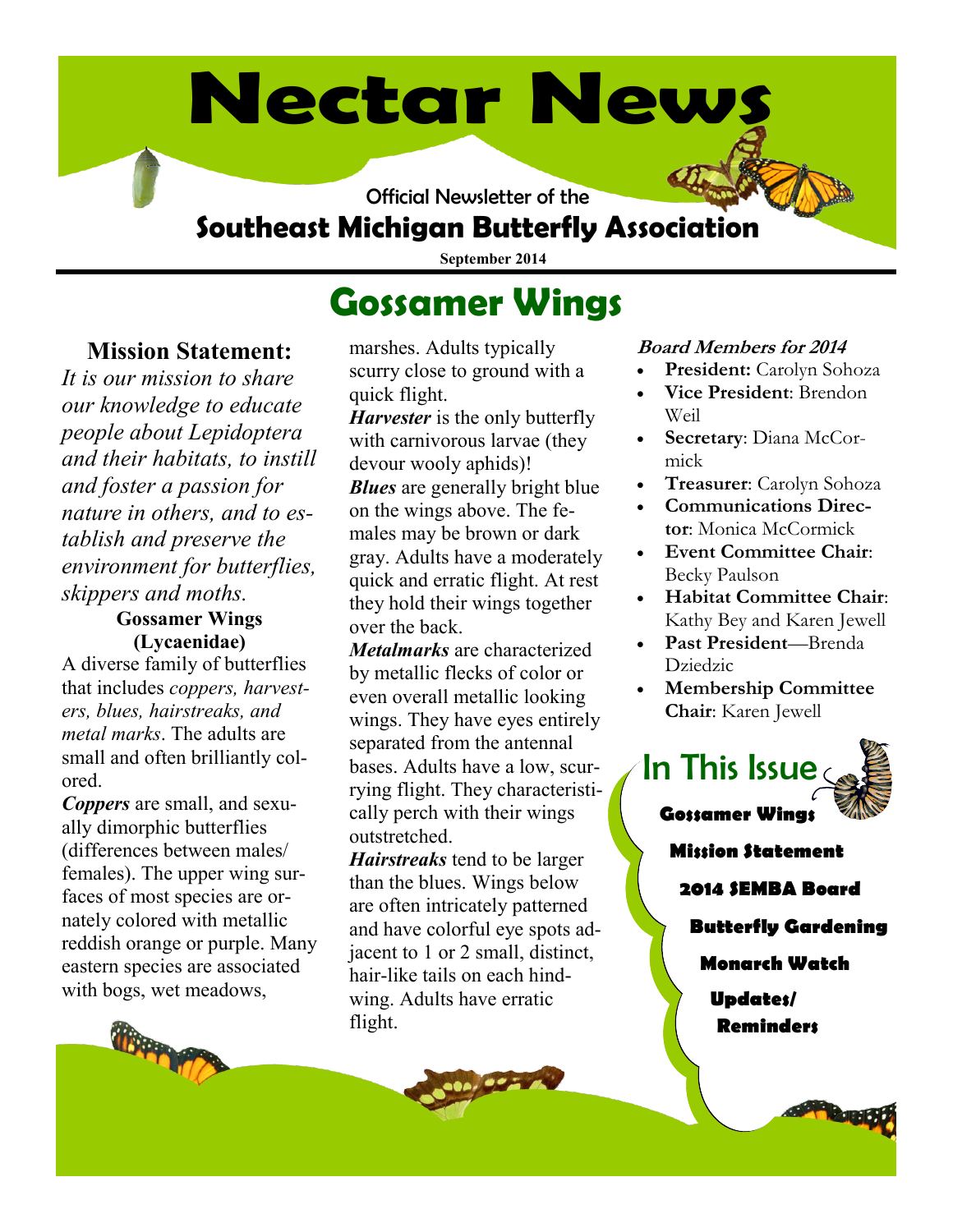# **Nectar News**

Official Newsletter of the

# **Southeast Michigan Butterfly Association**

**September 2014**

# **Gossamer Wings**

## **Mission Statement:**

*It is our mission to share our knowledge to educate people about Lepidoptera and their habitats, to instill and foster a passion for nature in others, and to establish and preserve the environment for butterflies, skippers and moths.* 

#### **Gossamer Wings (Lycaenidae)**

A diverse family of butterflies that includes *coppers, harvesters, blues, hairstreaks, and metal marks*. The adults are small and often brilliantly colored.

*Coppers* are small, and sexually dimorphic butterflies (differences between males/ females). The upper wing surfaces of most species are ornately colored with metallic reddish orange or purple. Many eastern species are associated with bogs, wet meadows,



marshes. Adults typically scurry close to ground with a quick flight.

*Harvester* is the only butterfly with carnivorous larvae (they devour wooly aphids)! *Blues* are generally bright blue on the wings above. The females may be brown or dark gray. Adults have a moderately quick and erratic flight. At rest they hold their wings together over the back.

*Metalmarks* are characterized by metallic flecks of color or even overall metallic looking wings. They have eyes entirely separated from the antennal bases. Adults have a low, scurrying flight. They characteristically perch with their wings outstretched.

*Hairstreaks* tend to be larger than the blues. Wings below are often intricately patterned and have colorful eye spots adjacent to 1 or 2 small, distinct, hair-like tails on each hindwing. Adults have erratic flight.

#### **Board Members for 2014**

- **President:** Carolyn Sohoza
- **Vice President**: Brendon Weil
- **Secretary**: Diana McCormick
- **Treasurer**: Carolyn Sohoza
- **Communications Director**: Monica McCormick
- **Event Committee Chair**: Becky Paulson
- **Habitat Committee Chair**: Kathy Bey and Karen Jewell
- **Past President**—Brenda Dziedzic
- **Membership Committee Chair**: Karen Jewell

**Gossamer Wing** In This Issue

**Mission Statement**

**2014 SEMBA Board**

**Butterfly Gardening**

**Monarch Watch**

**Updates/ Reminders**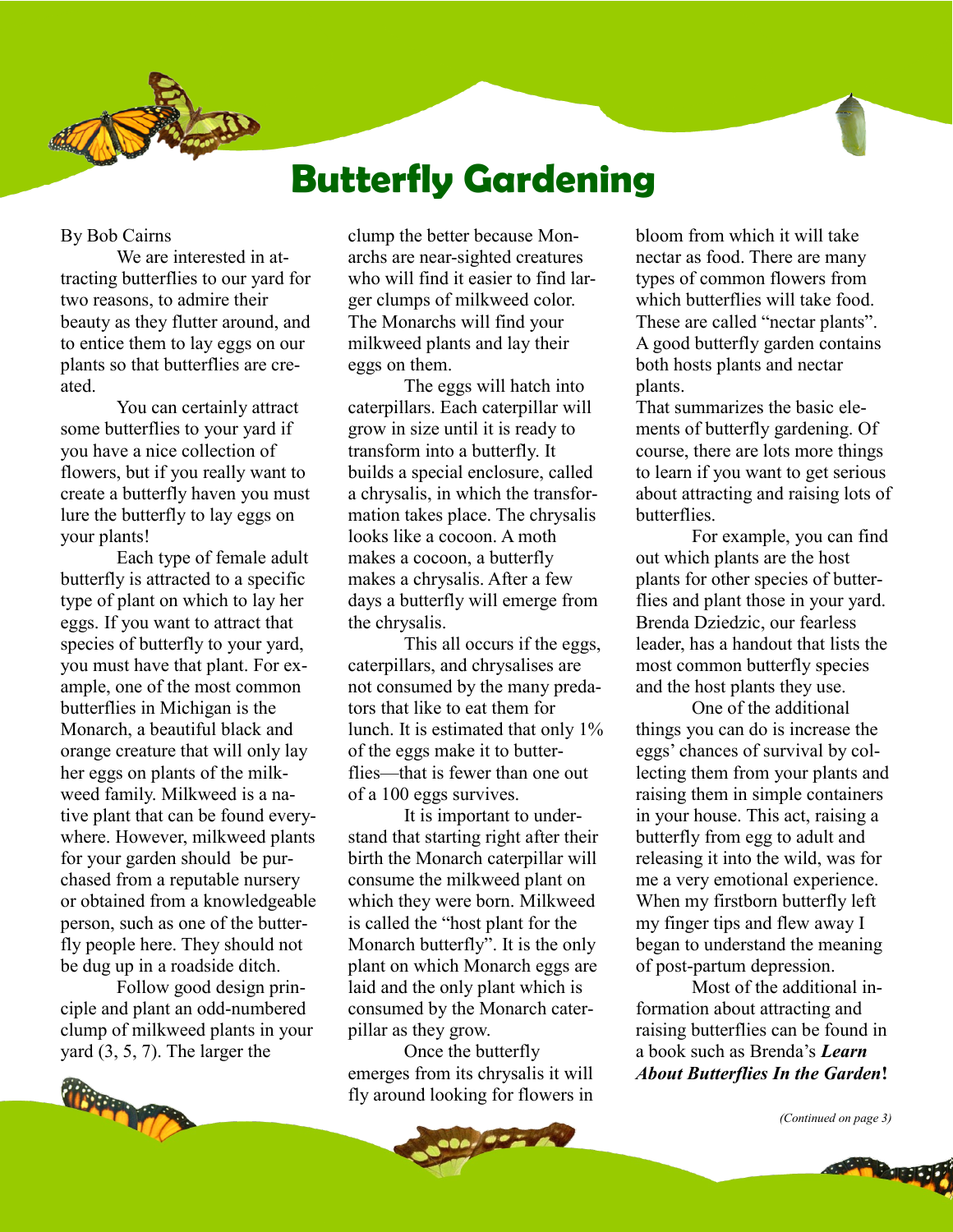# **Butterfly Gardening**

#### By Bob Cairns

We are interested in attracting butterflies to our yard for two reasons, to admire their beauty as they flutter around, and to entice them to lay eggs on our plants so that butterflies are created.

You can certainly attract some butterflies to your yard if you have a nice collection of flowers, but if you really want to create a butterfly haven you must lure the butterfly to lay eggs on your plants!

Each type of female adult butterfly is attracted to a specific type of plant on which to lay her eggs. If you want to attract that species of butterfly to your yard, you must have that plant. For example, one of the most common butterflies in Michigan is the Monarch, a beautiful black and orange creature that will only lay her eggs on plants of the milkweed family. Milkweed is a native plant that can be found everywhere. However, milkweed plants for your garden should be purchased from a reputable nursery or obtained from a knowledgeable person, such as one of the butterfly people here. They should not be dug up in a roadside ditch.

Follow good design principle and plant an odd-numbered clump of milkweed plants in your yard (3, 5, 7). The larger the



clump the better because Monarchs are near-sighted creatures who will find it easier to find larger clumps of milkweed color. The Monarchs will find your milkweed plants and lay their eggs on them.

The eggs will hatch into caterpillars. Each caterpillar will grow in size until it is ready to transform into a butterfly. It builds a special enclosure, called a chrysalis, in which the transformation takes place. The chrysalis looks like a cocoon. A moth makes a cocoon, a butterfly makes a chrysalis. After a few days a butterfly will emerge from the chrysalis.

This all occurs if the eggs, caterpillars, and chrysalises are not consumed by the many predators that like to eat them for lunch. It is estimated that only 1% of the eggs make it to butterflies—that is fewer than one out of a 100 eggs survives.

It is important to understand that starting right after their birth the Monarch caterpillar will consume the milkweed plant on which they were born. Milkweed is called the "host plant for the Monarch butterfly". It is the only plant on which Monarch eggs are laid and the only plant which is consumed by the Monarch caterpillar as they grow.

Once the butterfly emerges from its chrysalis it will fly around looking for flowers in

 $02 - 1$ 

bloom from which it will take nectar as food. There are many types of common flowers from which butterflies will take food. These are called "nectar plants". A good butterfly garden contains both hosts plants and nectar plants.

That summarizes the basic elements of butterfly gardening. Of course, there are lots more things to learn if you want to get serious about attracting and raising lots of butterflies.

For example, you can find out which plants are the host plants for other species of butterflies and plant those in your yard. Brenda Dziedzic, our fearless leader, has a handout that lists the most common butterfly species and the host plants they use.

One of the additional things you can do is increase the eggs' chances of survival by collecting them from your plants and raising them in simple containers in your house. This act, raising a butterfly from egg to adult and releasing it into the wild, was for me a very emotional experience. When my firstborn butterfly left my finger tips and flew away I began to understand the meaning of post-partum depression.

Most of the additional information about attracting and raising butterflies can be found in a book such as Brenda's *Learn About Butterflies In the Garden***!**

*(Continued on page 3)*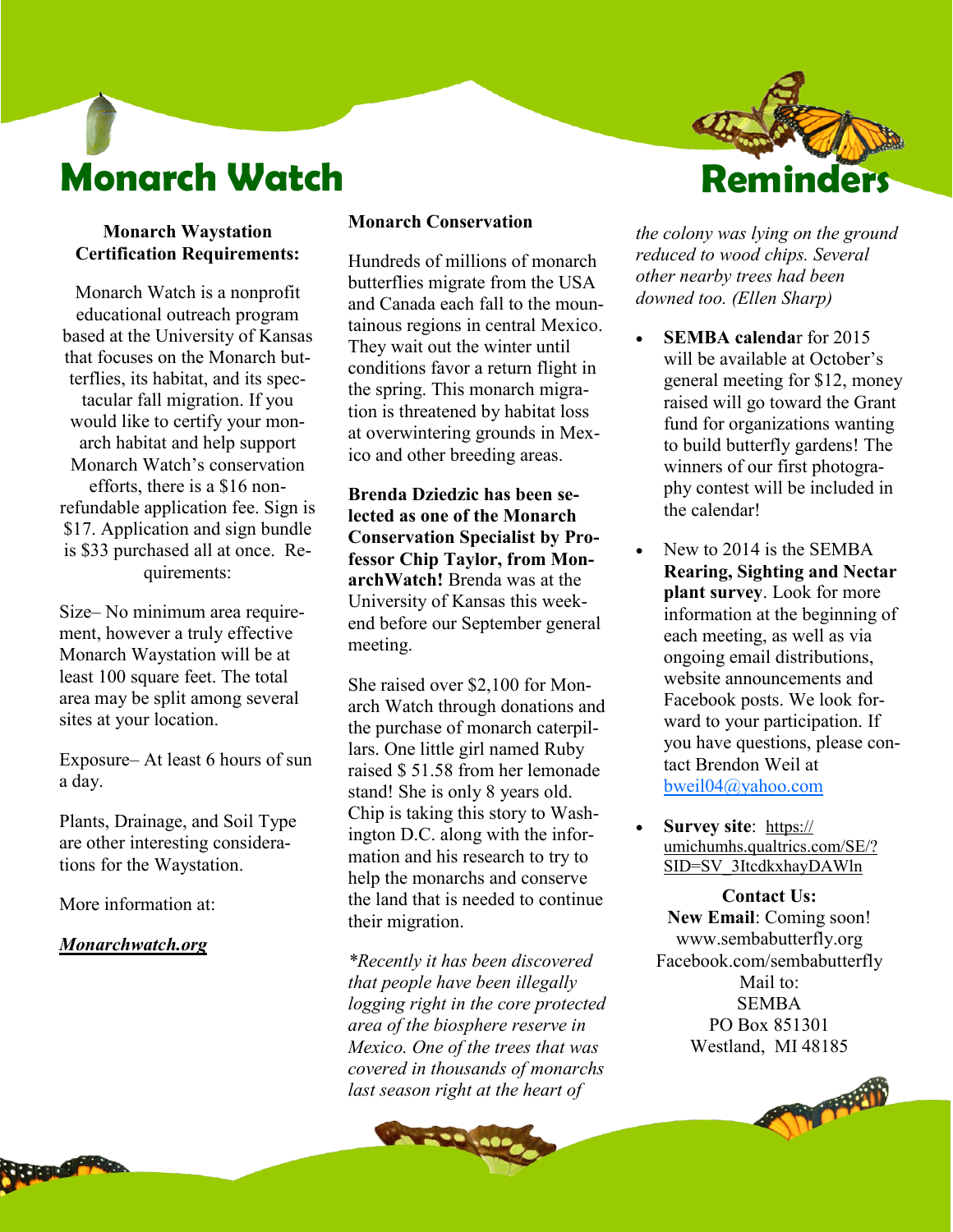# **Monarch Watch**

#### **Monarch Waystation Certification Requirements:**

Monarch Watch is a nonprofit educational outreach program based at the University of Kansas that focuses on the Monarch butterflies, its habitat, and its spectacular fall migration. If you would like to certify your monarch habitat and help support Monarch Watch's conservation efforts, there is a \$16 nonrefundable application fee. Sign is \$17. Application and sign bundle is \$33 purchased all at once. Requirements:

Size– No minimum area requirement, however a truly effective Monarch Waystation will be at least 100 square feet. The total area may be split among several sites at your location.

Exposure– At least 6 hours of sun a day.

Plants, Drainage, and Soil Type are other interesting considerations for the Waystation.

More information at:

#### *Monarchwatch.org*

#### **Monarch Conservation**

Hundreds of millions of monarch butterflies migrate from the USA and Canada each fall to the mountainous regions in central Mexico. They wait out the winter until conditions favor a return flight in the spring. This monarch migration is threatened by habitat loss at overwintering grounds in Mexico and other breeding areas.

**Brenda Dziedzic has been selected as one of the Monarch Conservation Specialist by Professor Chip Taylor, from MonarchWatch!** Brenda was at the University of Kansas this weekend before our September general meeting.

She raised over \$2,100 for Monarch Watch through donations and the purchase of monarch caterpillars. One little girl named Ruby raised \$ 51.58 from her lemonade stand! She is only 8 years old. Chip is taking this story to Washington D.C. along with the information and his research to try to help the monarchs and conserve the land that is needed to continue their migration.

*\*Recently it has been discovered that people have been illegally logging right in the core protected area of the biosphere reserve in Mexico. One of the trees that was covered in thousands of monarchs last season right at the heart of* 



*the colony was lying on the ground reduced to wood chips. Several other nearby trees had been downed too. (Ellen Sharp)*

- **SEMBA calenda**r for 2015 will be available at October's general meeting for \$12, money raised will go toward the Grant fund for organizations wanting to build butterfly gardens! The winners of our first photography contest will be included in the calendar!
- New to 2014 is the SEMBA **Rearing, Sighting and Nectar plant survey**. Look for more information at the beginning of each meeting, as well as via ongoing email distributions, website announcements and Facebook posts. We look forward to your participation. If you have questions, please contact Brendon Weil at [bweil04@yahoo.com](mailto:bweil04@yahoo.com)
- **Survey site**:[https://](https://umichumhs.qualtrics.com/SE/?SID=SV_3ItcdkxhayDAWln) [umichumhs.qualtrics.com/SE/?](https://umichumhs.qualtrics.com/SE/?SID=SV_3ItcdkxhayDAWln) [SID=SV\\_3ItcdkxhayDAWln](https://umichumhs.qualtrics.com/SE/?SID=SV_3ItcdkxhayDAWln)

**Contact Us: New Email**: Coming soon! www.sembabutterfly.org Facebook.com/sembabutterfly Mail to: **SEMBA** PO Box 851301 Westland, MI 48185